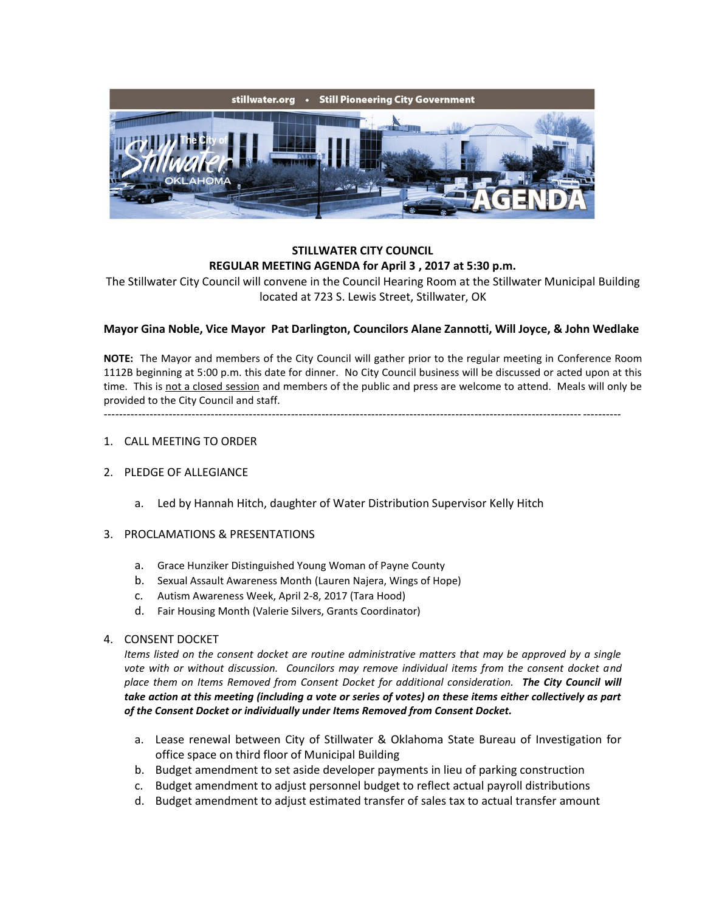

# **STILLWATER CITY COUNCIL REGULAR MEETING AGENDA for April 3 , 2017 at 5:30 p.m.**

The Stillwater City Council will convene in the Council Hearing Room at the Stillwater Municipal Building located at 723 S. Lewis Street, Stillwater, OK

## **Mayor Gina Noble, Vice Mayor Pat Darlington, Councilors Alane Zannotti, Will Joyce, & John Wedlake**

**NOTE:** The Mayor and members of the City Council will gather prior to the regular meeting in Conference Room 1112B beginning at 5:00 p.m. this date for dinner. No City Council business will be discussed or acted upon at this time. This is not a closed session and members of the public and press are welcome to attend. Meals will only be provided to the City Council and staff.

---------------------------------------------------------------------------------------------------------------------------------------

#### 1. CALL MEETING TO ORDER

## 2. PLEDGE OF ALLEGIANCE

a. Led by Hannah Hitch, daughter of Water Distribution Supervisor Kelly Hitch

#### 3. PROCLAMATIONS & PRESENTATIONS

- a. Grace Hunziker Distinguished Young Woman of Payne County
- b. Sexual Assault Awareness Month (Lauren Najera, Wings of Hope)
- c. Autism Awareness Week, April 2-8, 2017 (Tara Hood)
- d. Fair Housing Month (Valerie Silvers, Grants Coordinator)

#### 4. CONSENT DOCKET

*Items listed on the consent docket are routine administrative matters that may be approved by a single vote with or without discussion. Councilors may remove individual items from the consent docket and place them on Items Removed from Consent Docket for additional consideration. The City Council will take action at this meeting (including a vote or series of votes) on these items either collectively as part of the Consent Docket or individually under Items Removed from Consent Docket.*

- a. Lease renewal between City of Stillwater & Oklahoma State Bureau of Investigation for office space on third floor of Municipal Building
- b. Budget amendment to set aside developer payments in lieu of parking construction
- c. Budget amendment to adjust personnel budget to reflect actual payroll distributions
- d. Budget amendment to adjust estimated transfer of sales tax to actual transfer amount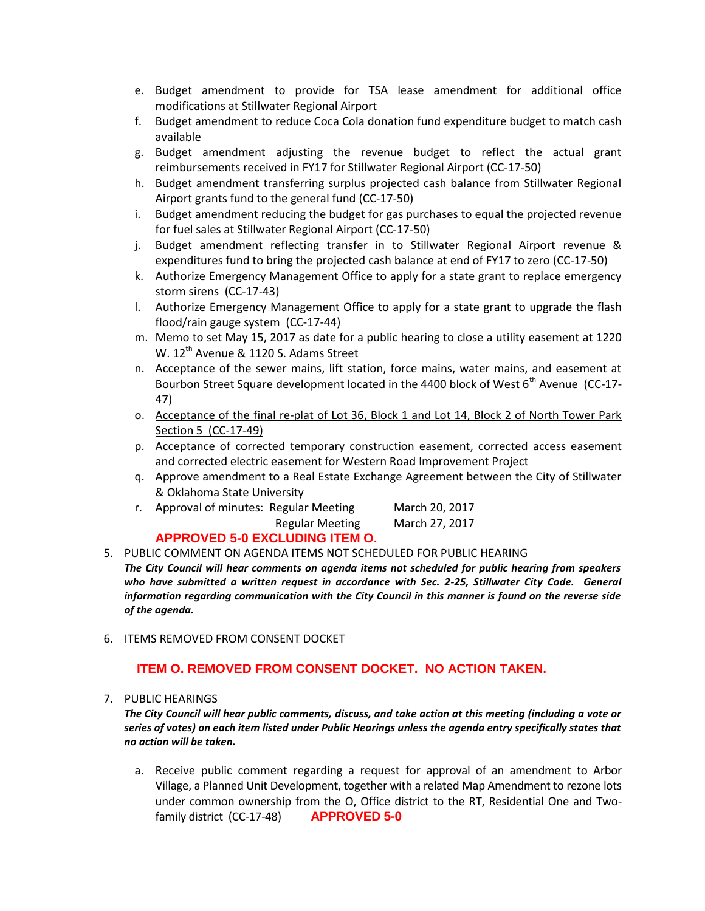- e. Budget amendment to provide for TSA lease amendment for additional office modifications at Stillwater Regional Airport
- f. Budget amendment to reduce Coca Cola donation fund expenditure budget to match cash available
- g. Budget amendment adjusting the revenue budget to reflect the actual grant reimbursements received in FY17 for Stillwater Regional Airport (CC-17-50)
- h. Budget amendment transferring surplus projected cash balance from Stillwater Regional Airport grants fund to the general fund (CC-17-50)
- i. Budget amendment reducing the budget for gas purchases to equal the projected revenue for fuel sales at Stillwater Regional Airport (CC-17-50)
- j. Budget amendment reflecting transfer in to Stillwater Regional Airport revenue & expenditures fund to bring the projected cash balance at end of FY17 to zero (CC-17-50)
- k. Authorize Emergency Management Office to apply for a state grant to replace emergency storm sirens (CC-17-43)
- l. Authorize Emergency Management Office to apply for a state grant to upgrade the flash flood/rain gauge system (CC-17-44)
- m. Memo to set May 15, 2017 as date for a public hearing to close a utility easement at 1220 W. 12<sup>th</sup> Avenue & 1120 S. Adams Street
- n. Acceptance of the sewer mains, lift station, force mains, water mains, and easement at Bourbon Street Square development located in the 4400 block of West  $6<sup>th</sup>$  Avenue (CC-17-47)
- o. Acceptance of the final re-plat of Lot 36, Block 1 and Lot 14, Block 2 of North Tower Park Section 5 (CC-17-49)
- p. Acceptance of corrected temporary construction easement, corrected access easement and corrected electric easement for Western Road Improvement Project
- q. Approve amendment to a Real Estate Exchange Agreement between the City of Stillwater & Oklahoma State University
- r. Approval of minutes: Regular Meeting March 20, 2017 Regular Meeting March 27, 2017

# **APPROVED 5-0 EXCLUDING ITEM O.**

5. PUBLIC COMMENT ON AGENDA ITEMS NOT SCHEDULED FOR PUBLIC HEARING

*The City Council will hear comments on agenda items not scheduled for public hearing from speakers*  who have submitted a written request in accordance with Sec. 2-25, Stillwater City Code. General *information regarding communication with the City Council in this manner is found on the reverse side of the agenda.*

6. ITEMS REMOVED FROM CONSENT DOCKET

# **ITEM O. REMOVED FROM CONSENT DOCKET. NO ACTION TAKEN.**

#### 7. PUBLIC HEARINGS

*The City Council will hear public comments, discuss, and take action at this meeting (including a vote or series of votes) on each item listed under Public Hearings unless the agenda entry specifically states that no action will be taken.*

a. Receive public comment regarding a request for approval of an amendment to Arbor Village, a Planned Unit Development, together with a related Map Amendment to rezone lots under common ownership from the O, Office district to the RT, Residential One and Twofamily district (CC-17-48) **APPROVED 5-0**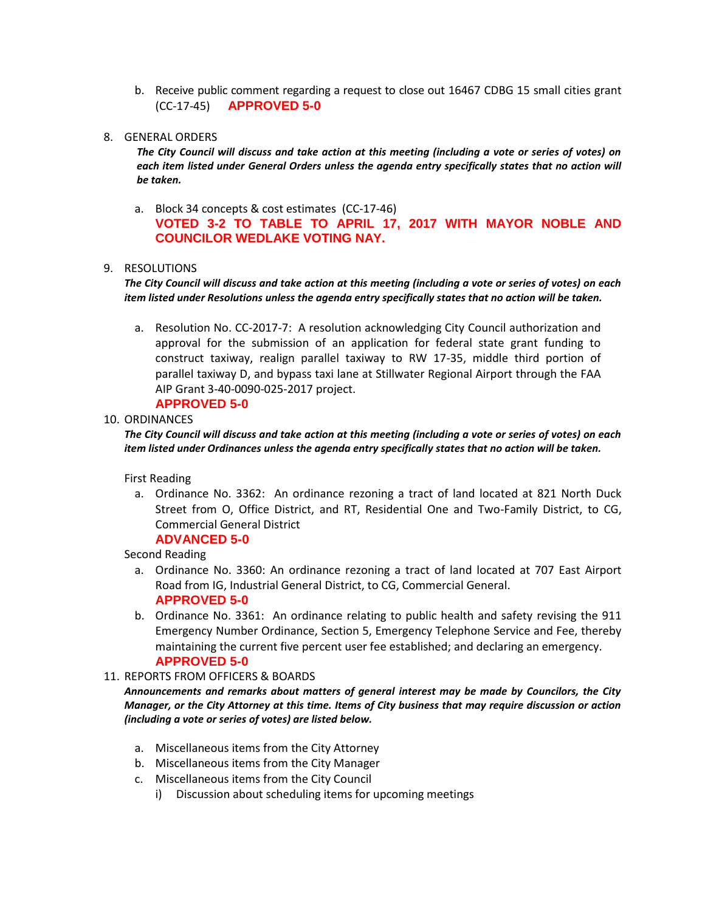- b. Receive public comment regarding a request to close out 16467 CDBG 15 small cities grant (CC-17-45) **APPROVED 5-0**
- 8. GENERAL ORDERS

*The City Council will discuss and take action at this meeting (including a vote or series of votes) on*  each item listed under General Orders unless the agenda entry specifically states that no action will *be taken.*

a. Block 34 concepts & cost estimates (CC-17-46) **VOTED 3-2 TO TABLE TO APRIL 17, 2017 WITH MAYOR NOBLE AND COUNCILOR WEDLAKE VOTING NAY.**

#### 9. RESOLUTIONS

*The City Council will discuss and take action at this meeting (including a vote or series of votes) on each item listed under Resolutions unless the agenda entry specifically states that no action will be taken.*

a. Resolution No. CC-2017-7: A resolution acknowledging City Council authorization and approval for the submission of an application for federal state grant funding to construct taxiway, realign parallel taxiway to RW 17-35, middle third portion of parallel taxiway D, and bypass taxi lane at Stillwater Regional Airport through the FAA AIP Grant 3-40-0090-025-2017 project.

# **APPROVED 5-0**

#### 10. ORDINANCES

*The City Council will discuss and take action at this meeting (including a vote or series of votes) on each item listed under Ordinances unless the agenda entry specifically states that no action will be taken.*

First Reading

a. Ordinance No. 3362: An ordinance rezoning a tract of land located at 821 North Duck Street from O, Office District, and RT, Residential One and Two-Family District, to CG, Commercial General District **ADVANCED 5-0**

Second Reading

- a. Ordinance No. 3360: An ordinance rezoning a tract of land located at 707 East Airport Road from IG, Industrial General District, to CG, Commercial General. **APPROVED 5-0**
- b. Ordinance No. 3361: An ordinance relating to public health and safety revising the 911 Emergency Number Ordinance, Section 5, Emergency Telephone Service and Fee, thereby maintaining the current five percent user fee established; and declaring an emergency. **APPROVED 5-0**
- 11. REPORTS FROM OFFICERS & BOARDS

*Announcements and remarks about matters of general interest may be made by Councilors, the City Manager, or the City Attorney at this time. Items of City business that may require discussion or action (including a vote or series of votes) are listed below.*

- a. Miscellaneous items from the City Attorney
- b. Miscellaneous items from the City Manager
- c. Miscellaneous items from the City Council
	- i) Discussion about scheduling items for upcoming meetings